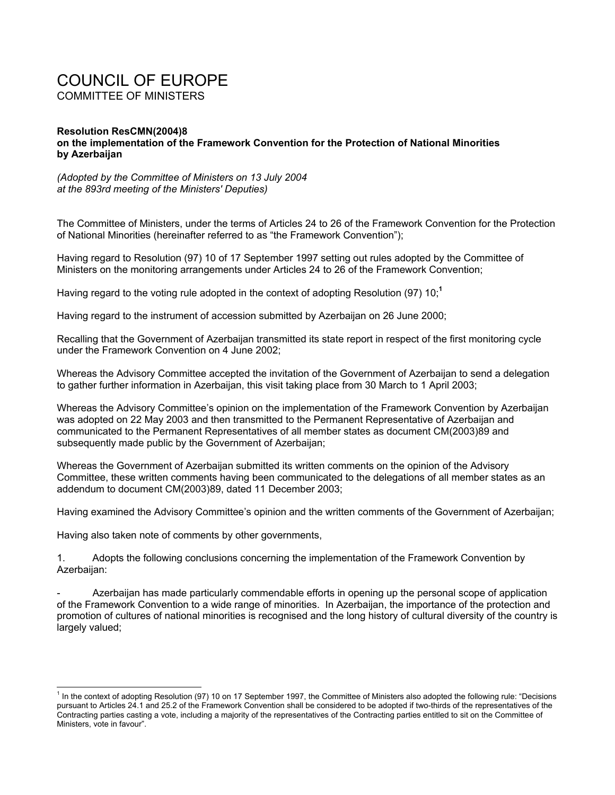## COUNCIL OF EUROPE COMMITTEE OF MINISTERS

## **Resolution ResCMN(2004)8 on the implementation of the Framework Convention for the Protection of National Minorities by Azerbaijan**

*(Adopted by the Committee of Ministers on 13 July 2004 at the 893rd meeting of the Ministers' Deputies)* 

The Committee of Ministers, under the terms of Articles 24 to 26 of the Framework Convention for the Protection of National Minorities (hereinafter referred to as "the Framework Convention");

Having regard to Resolution (97) 10 of 17 September 1997 setting out rules adopted by the Committee of Ministers on the monitoring arrangements under Articles 24 to 26 of the Framework Convention;

Having regard to the voting rule adopted in the context of adopting Resolution (97) 10;**<sup>1</sup>**

Having regard to the instrument of accession submitted by Azerbaijan on 26 June 2000;

Recalling that the Government of Azerbaijan transmitted its state report in respect of the first monitoring cycle under the Framework Convention on 4 June 2002;

Whereas the Advisory Committee accepted the invitation of the Government of Azerbaijan to send a delegation to gather further information in Azerbaijan, this visit taking place from 30 March to 1 April 2003;

Whereas the Advisory Committee's opinion on the implementation of the Framework Convention by Azerbaijan was adopted on 22 May 2003 and then transmitted to the Permanent Representative of Azerbaijan and communicated to the Permanent Representatives of all member states as document CM(2003)89 and subsequently made public by the Government of Azerbaijan;

Whereas the Government of Azerbaijan submitted its written comments on the opinion of the Advisory Committee, these written comments having been communicated to the delegations of all member states as an addendum to document CM(2003)89, dated 11 December 2003;

Having examined the Advisory Committee's opinion and the written comments of the Government of Azerbaijan;

Having also taken note of comments by other governments,

l

1. Adopts the following conclusions concerning the implementation of the Framework Convention by Azerbaijan:

Azerbaijan has made particularly commendable efforts in opening up the personal scope of application of the Framework Convention to a wide range of minorities. In Azerbaijan, the importance of the protection and promotion of cultures of national minorities is recognised and the long history of cultural diversity of the country is largely valued;

<sup>&</sup>lt;sup>1</sup> In the context of adopting Resolution (97) 10 on 17 September 1997, the Committee of Ministers also adopted the following rule: "Decisions pursuant to Articles 24.1 and 25.2 of the Framework Convention shall be considered to be adopted if two-thirds of the representatives of the Contracting parties casting a vote, including a majority of the representatives of the Contracting parties entitled to sit on the Committee of Ministers, vote in favour".